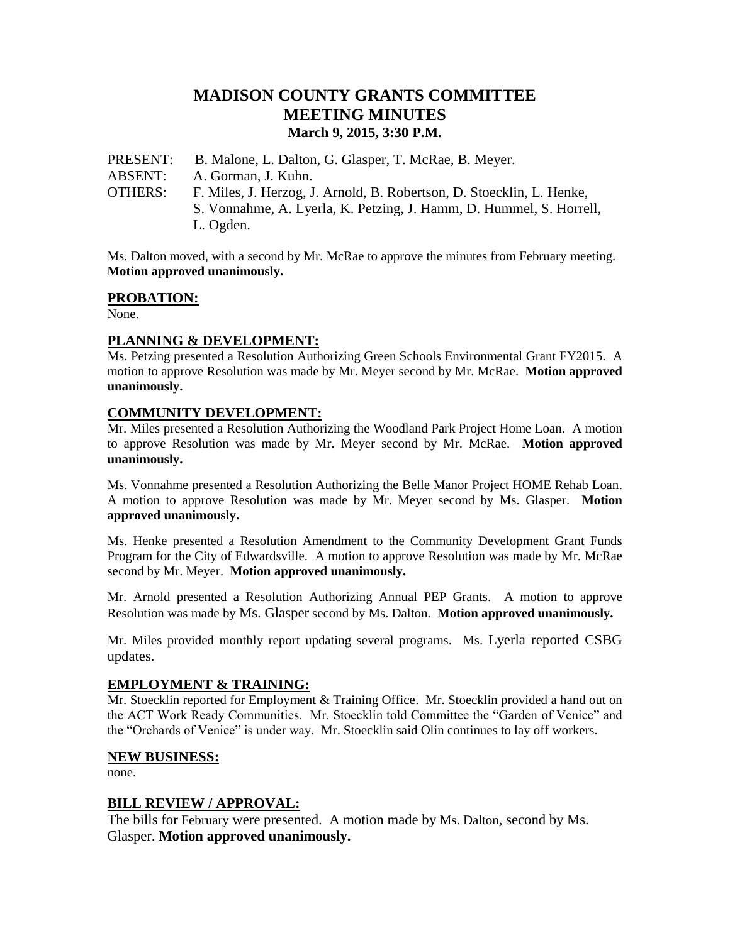# **MADISON COUNTY GRANTS COMMITTEE MEETING MINUTES March 9, 2015, 3:30 P.M.**

PRESENT: B. Malone, L. Dalton, G. Glasper, T. McRae, B. Meyer. ABSENT: A. Gorman, J. Kuhn. OTHERS: F. Miles, J. Herzog, J. Arnold, B. Robertson, D. Stoecklin, L. Henke, S. Vonnahme, A. Lyerla, K. Petzing, J. Hamm, D. Hummel, S. Horrell, L. Ogden.

Ms. Dalton moved, with a second by Mr. McRae to approve the minutes from February meeting. **Motion approved unanimously.**

# **PROBATION:**

None.

# **PLANNING & DEVELOPMENT:**

Ms. Petzing presented a Resolution Authorizing Green Schools Environmental Grant FY2015. A motion to approve Resolution was made by Mr. Meyer second by Mr. McRae. **Motion approved unanimously.**

# **COMMUNITY DEVELOPMENT:**

Mr. Miles presented a Resolution Authorizing the Woodland Park Project Home Loan. A motion to approve Resolution was made by Mr. Meyer second by Mr. McRae. **Motion approved unanimously.**

Ms. Vonnahme presented a Resolution Authorizing the Belle Manor Project HOME Rehab Loan. A motion to approve Resolution was made by Mr. Meyer second by Ms. Glasper. **Motion approved unanimously.**

Ms. Henke presented a Resolution Amendment to the Community Development Grant Funds Program for the City of Edwardsville. A motion to approve Resolution was made by Mr. McRae second by Mr. Meyer. **Motion approved unanimously.**

Mr. Arnold presented a Resolution Authorizing Annual PEP Grants. A motion to approve Resolution was made by Ms. Glasper second by Ms. Dalton. **Motion approved unanimously.**

Mr. Miles provided monthly report updating several programs. Ms. Lyerla reported CSBG updates.

### **EMPLOYMENT & TRAINING:**

Mr. Stoecklin reported for Employment & Training Office. Mr. Stoecklin provided a hand out on the ACT Work Ready Communities. Mr. Stoecklin told Committee the "Garden of Venice" and the "Orchards of Venice" is under way. Mr. Stoecklin said Olin continues to lay off workers.

### **NEW BUSINESS:**

none.

### **BILL REVIEW / APPROVAL:**

The bills for February were presented. A motion made by Ms. Dalton, second by Ms. Glasper. **Motion approved unanimously.**